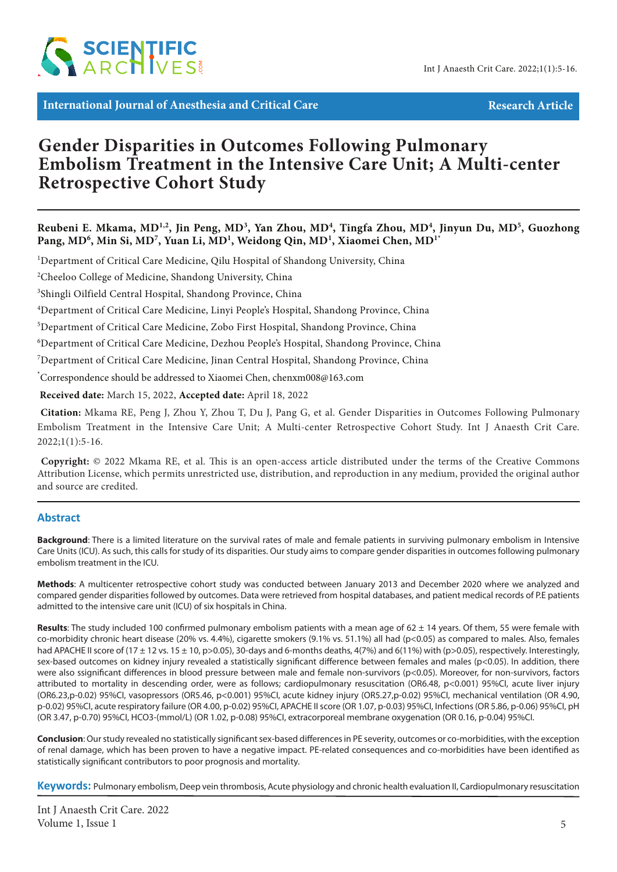

**International Journal of Anesthesia and Critical Care Article** Research Article

# **Gender Disparities in Outcomes Following Pulmonary Embolism Treatment in the Intensive Care Unit; A Multi-center Retrospective Cohort Study**

Reubeni E. Mkama, MD<sup>1,2</sup>, Jin Peng, MD<sup>3</sup>, Yan Zhou, MD<sup>4</sup>, Tingfa Zhou, MD<sup>4</sup>, Jinyun Du, MD<sup>5</sup>, Guozhong Pang, MD<sup>6</sup>, Min Si, MD<sup>7</sup>, Yuan Li, MD<sup>1</sup>, Weidong Qin, MD<sup>1</sup>, Xiaomei Chen, MD<sup>1</sup>\*

<sup>1</sup>Department of Critical Care Medicine, Qilu Hospital of Shandong University, China

<sup>2</sup>Cheeloo College of Medicine, Shandong University, China

3 Shingli Oilfield Central Hospital, Shandong Province, China

4 Department of Critical Care Medicine, Linyi People's Hospital, Shandong Province, China

5 Department of Critical Care Medicine, Zobo First Hospital, Shandong Province, China

6 Department of Critical Care Medicine, Dezhou People's Hospital, Shandong Province, China

7 Department of Critical Care Medicine, Jinan Central Hospital, Shandong Province, China

\* Correspondence should be addressed to Xiaomei Chen, chenxm008@163.com

 **Received date:** March 15, 2022, **Accepted date:** April 18, 2022

**Citation:** Mkama RE, Peng J, Zhou Y, Zhou T, Du J, Pang G, et al. Gender Disparities in Outcomes Following Pulmonary Embolism Treatment in the Intensive Care Unit; A Multi-center Retrospective Cohort Study. Int J Anaesth Crit Care.  $2022;1(1):5-16.$ 

 **Copyright:** © 2022 Mkama RE, et al. This is an open-access article distributed under the terms of the Creative Commons Attribution License, which permits unrestricted use, distribution, and reproduction in any medium, provided the original author and source are credited.

## **Abstract**

**Background**: There is a limited literature on the survival rates of male and female patients in surviving pulmonary embolism in Intensive Care Units (ICU). As such, this calls for study of its disparities. Our study aims to compare gender disparities in outcomes following pulmonary embolism treatment in the ICU.

**Methods**: A multicenter retrospective cohort study was conducted between January 2013 and December 2020 where we analyzed and compared gender disparities followed by outcomes. Data were retrieved from hospital databases, and patient medical records of P.E patients admitted to the intensive care unit (ICU) of six hospitals in China.

Results: The study included 100 confirmed pulmonary embolism patients with a mean age of 62 ± 14 years. Of them, 55 were female with co-morbidity chronic heart disease (20% vs. 4.4%), cigarette smokers (9.1% vs. 51.1%) all had (p<0.05) as compared to males. Also, females had APACHE II score of (17 ± 12 vs. 15 ± 10, p>0.05), 30-days and 6-months deaths, 4(7%) and 6(11%) with (p>0.05), respectively. Interestingly, sex-based outcomes on kidney injury revealed a statistically significant difference between females and males (p<0.05). In addition, there were also ssignificant differences in blood pressure between male and female non-survivors (p<0.05). Moreover, for non-survivors, factors attributed to mortality in descending order, were as follows; cardiopulmonary resuscitation (OR6.48, p<0.001) 95%CI, acute liver injury (OR6.23,p-0.02) 95%CI, vasopressors (OR5.46, p<0.001) 95%CI, acute kidney injury (OR5.27,p-0.02) 95%CI, mechanical ventilation (OR 4.90, p-0.02) 95%CI, acute respiratory failure (OR 4.00, p-0.02) 95%CI, APACHE II score (OR 1.07, p-0.03) 95%CI, Infections (OR 5.86, p-0.06) 95%CI, pH (OR 3.47, p-0.70) 95%CI, HCO3-(mmol/L) (OR 1.02, p-0.08) 95%CI, extracorporeal membrane oxygenation (OR 0.16, p-0.04) 95%CI.

**Conclusion**: Our study revealed no statistically significant sex-based differences in PE severity, outcomes or co-morbidities, with the exception of renal damage, which has been proven to have a negative impact. PE-related consequences and co-morbidities have been identified as statistically significant contributors to poor prognosis and mortality.

**Keywords:** Pulmonary embolism, Deep vein thrombosis, Acute physiology and chronic health evaluation II, Cardiopulmonary resuscitation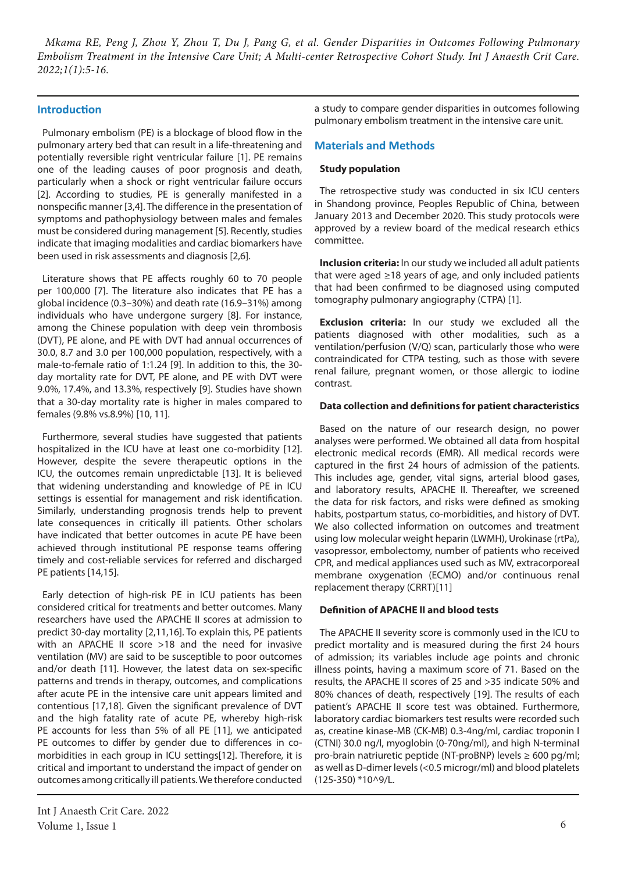# **Introduction**

Pulmonary embolism (PE) is a blockage of blood flow in the pulmonary artery bed that can result in a life-threatening and potentially reversible right ventricular failure [1]. PE remains one of the leading causes of poor prognosis and death, particularly when a shock or right ventricular failure occurs [2]. According to studies, PE is generally manifested in a nonspecific manner [3,4]. The difference in the presentation of symptoms and pathophysiology between males and females must be considered during management [5]. Recently, studies indicate that imaging modalities and cardiac biomarkers have been used in risk assessments and diagnosis [2,6].

Literature shows that PE affects roughly 60 to 70 people per 100,000 [7]. The literature also indicates that PE has a global incidence (0.3–30%) and death rate (16.9–31%) among individuals who have undergone surgery [8]. For instance, among the Chinese population with deep vein thrombosis (DVT), PE alone, and PE with DVT had annual occurrences of 30.0, 8.7 and 3.0 per 100,000 population, respectively, with a male-to-female ratio of 1:1.24 [9]. In addition to this, the 30 day mortality rate for DVT, PE alone, and PE with DVT were 9.0%, 17.4%, and 13.3%, respectively [9]. Studies have shown that a 30-day mortality rate is higher in males compared to females (9.8% vs.8.9%) [10, 11].

Furthermore, several studies have suggested that patients hospitalized in the ICU have at least one co-morbidity [12]. However, despite the severe therapeutic options in the ICU, the outcomes remain unpredictable [13]. It is believed that widening understanding and knowledge of PE in ICU settings is essential for management and risk identification. Similarly, understanding prognosis trends help to prevent late consequences in critically ill patients. Other scholars have indicated that better outcomes in acute PE have been achieved through institutional PE response teams offering timely and cost-reliable services for referred and discharged PE patients [14,15].

Early detection of high-risk PE in ICU patients has been considered critical for treatments and better outcomes. Many researchers have used the APACHE II scores at admission to predict 30-day mortality [2,11,16]. To explain this, PE patients with an APACHE II score >18 and the need for invasive ventilation (MV) are said to be susceptible to poor outcomes and/or death [11]. However, the latest data on sex-specific patterns and trends in therapy, outcomes, and complications after acute PE in the intensive care unit appears limited and contentious [17,18]. Given the significant prevalence of DVT and the high fatality rate of acute PE, whereby high-risk PE accounts for less than 5% of all PE [11], we anticipated PE outcomes to differ by gender due to differences in comorbidities in each group in ICU settings[12]. Therefore, it is critical and important to understand the impact of gender on outcomes among critically ill patients. We therefore conducted

a study to compare gender disparities in outcomes following pulmonary embolism treatment in the intensive care unit.

## **Materials and Methods**

#### **Study population**

The retrospective study was conducted in six ICU centers in Shandong province, Peoples Republic of China, between January 2013 and December 2020. This study protocols were approved by a review board of the medical research ethics committee.

**Inclusion criteria:** In our study we included all adult patients that were aged ≥18 years of age, and only included patients that had been confirmed to be diagnosed using computed tomography pulmonary angiography (CTPA) [1].

**Exclusion criteria:** In our study we excluded all the patients diagnosed with other modalities, such as a ventilation/perfusion (V/Q) scan, particularly those who were contraindicated for CTPA testing, such as those with severe renal failure, pregnant women, or those allergic to iodine contrast.

#### **Data collection and definitions for patient characteristics**

Based on the nature of our research design, no power analyses were performed. We obtained all data from hospital electronic medical records (EMR). All medical records were captured in the first 24 hours of admission of the patients. This includes age, gender, vital signs, arterial blood gases, and laboratory results, APACHE II. Thereafter, we screened the data for risk factors, and risks were defined as smoking habits, postpartum status, co-morbidities, and history of DVT. We also collected information on outcomes and treatment using low molecular weight heparin (LWMH), Urokinase (rtPa), vasopressor, embolectomy, number of patients who received CPR, and medical appliances used such as MV, extracorporeal membrane oxygenation (ECMO) and/or continuous renal replacement therapy (CRRT)[11]

#### **Definition of APACHE II and blood tests**

The APACHE II severity score is commonly used in the ICU to predict mortality and is measured during the first 24 hours of admission; its variables include age points and chronic illness points, having a maximum score of 71. Based on the results, the APACHE II scores of 25 and >35 indicate 50% and 80% chances of death, respectively [19]. The results of each patient's APACHE II score test was obtained. Furthermore, laboratory cardiac biomarkers test results were recorded such as, creatine kinase-MB (CK-MB) 0.3-4ng/ml, cardiac troponin I (CTNI) 30.0 ng/l, myoglobin (0-70ng/ml), and high N-terminal pro-brain natriuretic peptide (NT-proBNP) levels ≥ 600 pg/ml; as well as D-dimer levels (<0.5 microgr/ml) and blood platelets (125-350) \*10^9/L.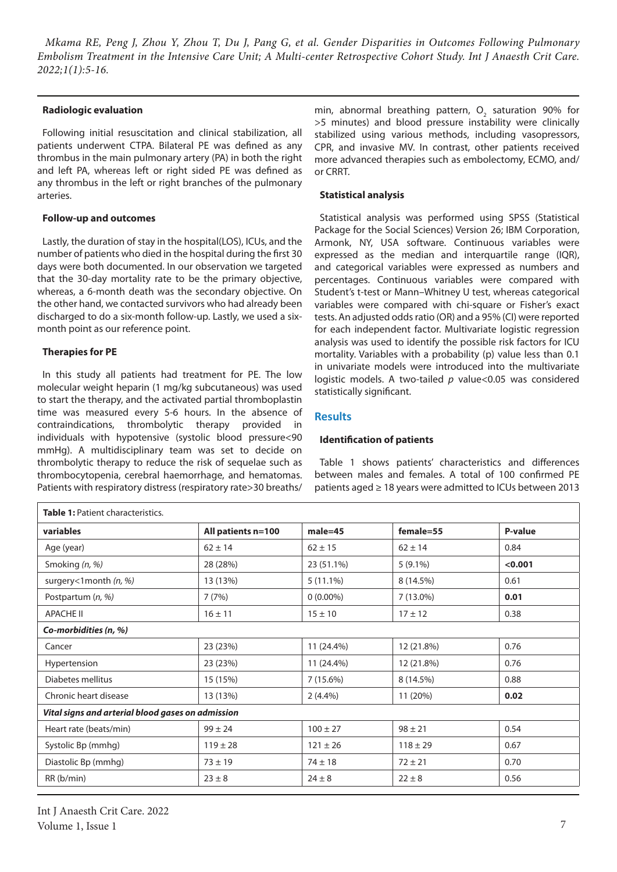#### **Radiologic evaluation**

Following initial resuscitation and clinical stabilization, all patients underwent CTPA. Bilateral PE was defined as any thrombus in the main pulmonary artery (PA) in both the right and left PA, whereas left or right sided PE was defined as any thrombus in the left or right branches of the pulmonary arteries.

#### **Follow-up and outcomes**

Lastly, the duration of stay in the hospital(LOS), ICUs, and the number of patients who died in the hospital during the first 30 days were both documented. In our observation we targeted that the 30-day mortality rate to be the primary objective, whereas, a 6-month death was the secondary objective. On the other hand, we contacted survivors who had already been discharged to do a six-month follow-up. Lastly, we used a sixmonth point as our reference point.

## **Therapies for PE**

In this study all patients had treatment for PE. The low molecular weight heparin (1 mg/kg subcutaneous) was used to start the therapy, and the activated partial thromboplastin time was measured every 5-6 hours. In the absence of contraindications, thrombolytic therapy provided in individuals with hypotensive (systolic blood pressure<90 mmHg). A multidisciplinary team was set to decide on thrombolytic therapy to reduce the risk of sequelae such as thrombocytopenia, cerebral haemorrhage, and hematomas. Patients with respiratory distress (respiratory rate>30 breaths/ min, abnormal breathing pattern,  $O_2$  saturation 90% for >5 minutes) and blood pressure instability were clinically stabilized using various methods, including vasopressors, CPR, and invasive MV. In contrast, other patients received more advanced therapies such as embolectomy, ECMO, and/ or CRRT.

#### **Statistical analysis**

Statistical analysis was performed using SPSS (Statistical Package for the Social Sciences) Version 26; IBM Corporation, Armonk, NY, USA software. Continuous variables were expressed as the median and interquartile range (IQR), and categorical variables were expressed as numbers and percentages. Continuous variables were compared with Student's t-test or Mann–Whitney U test, whereas categorical variables were compared with chi-square or Fisher's exact tests. An adjusted odds ratio (OR) and a 95% (CI) were reported for each independent factor. Multivariate logistic regression analysis was used to identify the possible risk factors for ICU mortality. Variables with a probability (p) value less than 0.1 in univariate models were introduced into the multivariate logistic models. A two-tailed *p* value<0.05 was considered statistically significant.

# **Results**

## **Identification of patients**

Table 1 shows patients' characteristics and differences between males and females. A total of 100 confirmed PE patients aged ≥ 18 years were admitted to ICUs between 2013

| <b>Table 1: Patient characteristics.</b>          |                    |              |              |         |  |  |
|---------------------------------------------------|--------------------|--------------|--------------|---------|--|--|
| variables                                         | All patients n=100 | $male = 45$  | female=55    | P-value |  |  |
| Age (year)                                        | $62 \pm 14$        | $62 \pm 15$  | $62 \pm 14$  | 0.84    |  |  |
| Smoking (n, %)                                    | 28 (28%)           | 23 (51.1%)   | $5(9.1\%)$   | < 0.001 |  |  |
| surgery<1month $(n, %)$                           | 13 (13%)           | $5(11.1\%)$  | 8 (14.5%)    | 0.61    |  |  |
| Postpartum (n, %)                                 | 7(7%)              | $0(0.00\%)$  | $7(13.0\%)$  | 0.01    |  |  |
| APACHE II                                         | $16 \pm 11$        | $15 \pm 10$  | $17 \pm 12$  | 0.38    |  |  |
| Co-morbidities (n, %)                             |                    |              |              |         |  |  |
| Cancer                                            | 23 (23%)           | 11 (24.4%)   | 12 (21.8%)   | 0.76    |  |  |
| Hypertension                                      | 23 (23%)           | 11 (24.4%)   | 12 (21.8%)   | 0.76    |  |  |
| Diabetes mellitus                                 | 15 (15%)           | 7(15.6%)     | 8 (14.5%)    | 0.88    |  |  |
| Chronic heart disease                             | 13 (13%)           | $2(4.4\%)$   | 11 (20%)     | 0.02    |  |  |
| Vital signs and arterial blood gases on admission |                    |              |              |         |  |  |
| Heart rate (beats/min)                            | $99 \pm 24$        | $100 \pm 27$ | $98 \pm 21$  | 0.54    |  |  |
| Systolic Bp (mmhg)                                | $119 \pm 28$       | $121 \pm 26$ | $118 \pm 29$ | 0.67    |  |  |
| Diastolic Bp (mmhg)                               | $73 \pm 19$        | $74 \pm 18$  | $72 \pm 21$  | 0.70    |  |  |
| RR (b/min)                                        | $23 \pm 8$         | $24 \pm 8$   | $22 \pm 8$   | 0.56    |  |  |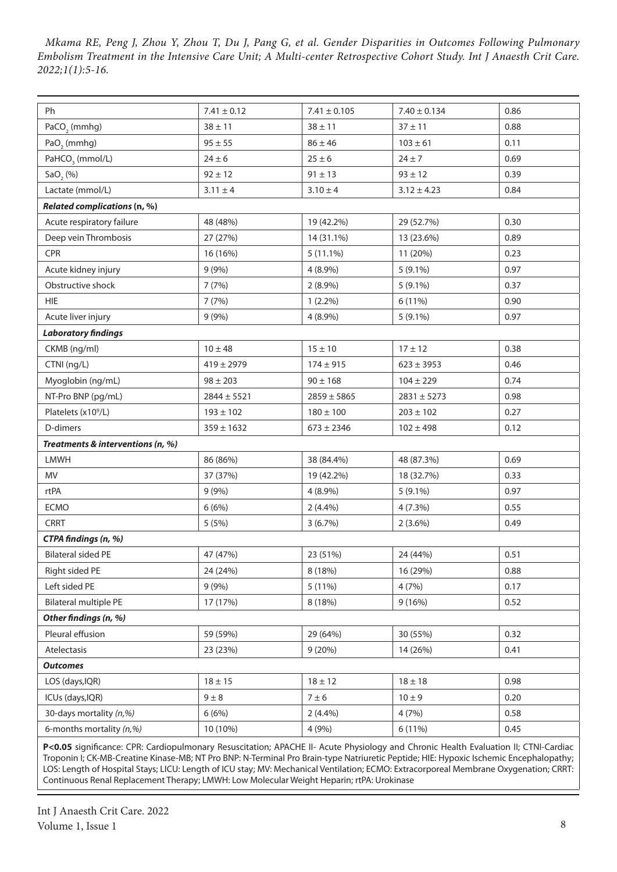| Ph                                | $7.41 \pm 0.12$ | $7.41 \pm 0.105$ | $7.40 \pm 0.134$ | 0.86 |  |  |
|-----------------------------------|-----------------|------------------|------------------|------|--|--|
| PaCO <sub>2</sub> (mmhg)          | $38 \pm 11$     | $38 \pm 11$      | $37 + 11$        | 0.88 |  |  |
| PaO <sub>2</sub> (mmhg)           | $95 \pm 55$     | $86 \pm 46$      | $103 \pm 61$     | 0.11 |  |  |
| PaHCO <sub>3</sub> (mmol/L)       | $24 \pm 6$      | $25 \pm 6$       | $24 \pm 7$       | 0.69 |  |  |
| $SaO,$ (%)                        | $92 \pm 12$     | $91 \pm 13$      | $93 \pm 12$      | 0.39 |  |  |
| Lactate (mmol/L)                  | $3.11 \pm 4$    | $3.10 \pm 4$     | $3.12 \pm 4.23$  | 0.84 |  |  |
| Related complications (n, %)      |                 |                  |                  |      |  |  |
| Acute respiratory failure         | 48 (48%)        | 19 (42.2%)       | 29 (52.7%)       | 0.30 |  |  |
| Deep vein Thrombosis              | 27 (27%)        | 14 (31.1%)       | 13 (23.6%)       | 0.89 |  |  |
| CPR                               | 16 (16%)        | $5(11.1\%)$      | 11 (20%)         | 0.23 |  |  |
| Acute kidney injury               | 9(9%)           | 4 (8.9%)         | $5(9.1\%)$       | 0.97 |  |  |
| Obstructive shock                 | 7(7%)           | $2(8.9\%)$       | $5(9.1\%)$       | 0.37 |  |  |
| <b>HIE</b>                        | 7(7%)           | $1(2.2\%)$       | 6 (11%)          | 0.90 |  |  |
| Acute liver injury                | 9(9%)           | $4(8.9\%)$       | $5(9.1\%)$       | 0.97 |  |  |
| <b>Laboratory findings</b>        |                 |                  |                  |      |  |  |
| CKMB (ng/ml)                      | $10 \pm 48$     | $15 \pm 10$      | $17 \pm 12$      | 0.38 |  |  |
| CTNI (ng/L)                       | $419 \pm 2979$  | $174 \pm 915$    | $623 \pm 3953$   | 0.46 |  |  |
| Myoglobin (ng/mL)                 | $98 \pm 203$    | $90 \pm 168$     | $104 \pm 229$    | 0.74 |  |  |
| NT-Pro BNP (pg/mL)                | $2844 \pm 5521$ | $2859 \pm 5865$  | $2831 \pm 5273$  | 0.98 |  |  |
| Platelets (x10 <sup>9</sup> /L)   | $193 \pm 102$   | $180 \pm 100$    | $203 \pm 102$    | 0.27 |  |  |
| D-dimers                          | $359 \pm 1632$  | $673 \pm 2346$   | $102 \pm 498$    | 0.12 |  |  |
| Treatments & interventions (n, %) |                 |                  |                  |      |  |  |
| LMWH                              | 86 (86%)        | 38 (84.4%)       | 48 (87.3%)       | 0.69 |  |  |
| <b>MV</b>                         | 37 (37%)        | 19 (42.2%)       | 18 (32.7%)       | 0.33 |  |  |
| rtPA                              | 9(9%)           | $4(8.9\%)$       | $5(9.1\%)$       | 0.97 |  |  |
| ECMO                              | 6(6%)           | 2(4.4%)          | 4(7.3%)          | 0.55 |  |  |
| <b>CRRT</b>                       | 5(5%)           | 3(6.7%)          | $2(3.6\%)$       | 0.49 |  |  |
| CTPA findings (n, %)              |                 |                  |                  |      |  |  |
| <b>Bilateral sided PE</b>         | 47 (47%)        | 23 (51%)         | 24 (44%)         | 0.51 |  |  |
| Right sided PE                    | 24 (24%)        | 8 (18%)          | 16 (29%)         | 0.88 |  |  |
| Left sided PE                     | 9(9%)           | 5 (11%)          | 4(7%)            | 0.17 |  |  |
| <b>Bilateral multiple PE</b>      | 17 (17%)        | 8 (18%)          | 9(16%)           | 0.52 |  |  |
| Other findings (n, %)             |                 |                  |                  |      |  |  |
| Pleural effusion                  | 59 (59%)        | 29 (64%)         | 30 (55%)         | 0.32 |  |  |
| Atelectasis                       | 23 (23%)        | 9(20%)           | 14 (26%)         | 0.41 |  |  |
| <b>Outcomes</b>                   |                 |                  |                  |      |  |  |
| LOS (days, IQR)                   | $18 \pm 15$     | $18 \pm 12$      | $18 \pm 18$      | 0.98 |  |  |
| ICUs (days, IQR)                  | $9 \pm 8$       | $7 \pm 6$        | $10 \pm 9$       | 0.20 |  |  |
| 30-days mortality (n,%)           | 6(6%)           | $2(4.4\%)$       | 4(7%)            | 0.58 |  |  |
| 6-months mortality (n,%)          | 10 (10%)        | 4 (9%)           | 6 (11%)          | 0.45 |  |  |

P<0.05 significance: CPR: Cardiopulmonary Resuscitation; APACHE II- Acute Physiology and Chronic Health Evaluation II; CTNI-Cardiac Troponin I; CK-MB-Creatine Kinase-MB; NT Pro BNP: N-Terminal Pro Brain-type Natriuretic Peptide; HIE: Hypoxic Ischemic Encephalopathy; LOS: Length of Hospital Stays; LICU: Length of ICU stay; MV: Mechanical Ventilation; ECMO: Extracorporeal Membrane Oxygenation; CRRT: Continuous Renal Replacement Therapy; LMWH: Low Molecular Weight Heparin; rtPA: Urokinase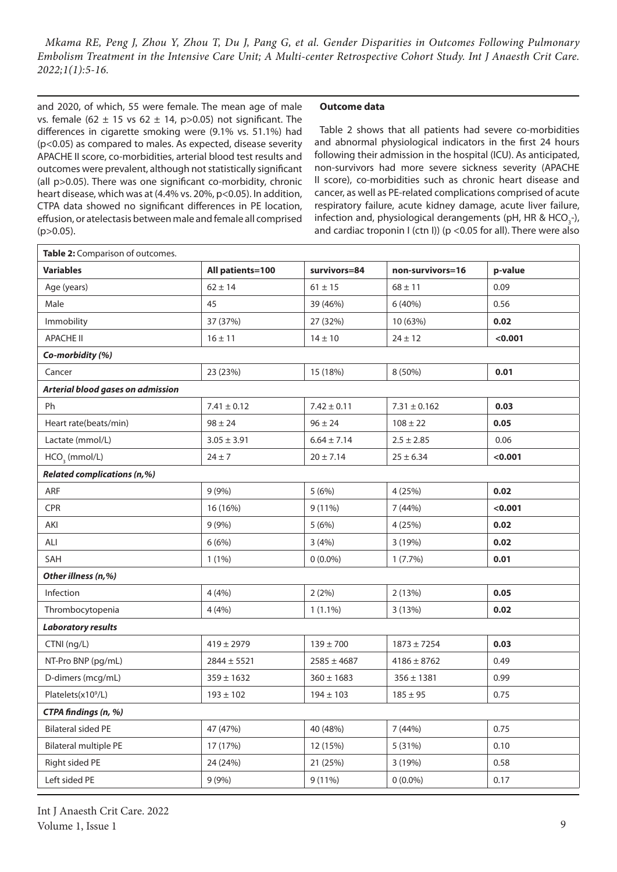and 2020, of which, 55 were female. The mean age of male vs. female (62  $\pm$  15 vs 62  $\pm$  14, p>0.05) not significant. The differences in cigarette smoking were (9.1% vs. 51.1%) had (p<0.05) as compared to males. As expected, disease severity APACHE II score, co-morbidities, arterial blood test results and outcomes were prevalent, although not statistically significant (all p>0.05). There was one significant co-morbidity, chronic heart disease, which was at (4.4% vs. 20%, p<0.05). In addition, CTPA data showed no significant differences in PE location, effusion, or atelectasis between male and female all comprised  $(p>0.05)$ .

 $\mathsf{r}$ 

#### **Outcome data**

Table 2 shows that all patients had severe co-morbidities and abnormal physiological indicators in the first 24 hours following their admission in the hospital (ICU). As anticipated, non-survivors had more severe sickness severity (APACHE II score), co-morbidities such as chronic heart disease and cancer, as well as PE-related complications comprised of acute respiratory failure, acute kidney damage, acute liver failure, infection and, physiological derangements (pH, HR & HCO<sub>3</sub>-), and cardiac troponin I (ctn I)) (p <0.05 for all). There were also

| Table 2: Comparison of outcomes.   |                  |                 |                  |         |  |  |
|------------------------------------|------------------|-----------------|------------------|---------|--|--|
| <b>Variables</b>                   | All patients=100 | survivors=84    | non-survivors=16 | p-value |  |  |
| Age (years)                        | $62 \pm 14$      | $61 \pm 15$     | $68 \pm 11$      | 0.09    |  |  |
| Male                               | 45               | 39 (46%)        | 6 (40%)          | 0.56    |  |  |
| Immobility                         | 37 (37%)         | 27 (32%)        | 10 (63%)         | 0.02    |  |  |
| <b>APACHE II</b>                   | $16 \pm 11$      | $14 \pm 10$     | $24 \pm 12$      | < 0.001 |  |  |
| Co-morbidity (%)                   |                  |                 |                  |         |  |  |
| Cancer                             | 23 (23%)         | 15 (18%)        | 8 (50%)          | 0.01    |  |  |
| Arterial blood gases on admission  |                  |                 |                  |         |  |  |
| Ph                                 | $7.41 \pm 0.12$  | $7.42 \pm 0.11$ | $7.31 \pm 0.162$ | 0.03    |  |  |
| Heart rate(beats/min)              | $98 \pm 24$      | $96 \pm 24$     | $108 \pm 22$     | 0.05    |  |  |
| Lactate (mmol/L)                   | $3.05 \pm 3.91$  | $6.64 \pm 7.14$ | $2.5 \pm 2.85$   | 0.06    |  |  |
| $HCO3$ (mmol/L)                    | $24 \pm 7$       | $20 \pm 7.14$   | $25 \pm 6.34$    | < 0.001 |  |  |
| <b>Related complications (n,%)</b> |                  |                 |                  |         |  |  |
| ARF                                | 9(9%)            | 5(6%)           | 4 (25%)          | 0.02    |  |  |
| CPR                                | 16 (16%)         | $9(11\%)$       | 7 (44%)          | < 0.001 |  |  |
| AKI                                | 9(9%)            | 5(6%)           | 4 (25%)          | 0.02    |  |  |
| ALI                                | 6(6%)            | 3(4%)           | 3 (19%)          | 0.02    |  |  |
| SAH                                | $1(1\%)$         | $0(0.0\%)$      | $1(7.7\%)$       | 0.01    |  |  |
| Other illness (n,%)                |                  |                 |                  |         |  |  |
| Infection                          | 4(4%)            | 2(2%)           | 2(13%)           | 0.05    |  |  |
| Thrombocytopenia                   | 4(4%)            | $1(1.1\%)$      | 3(13%)           | 0.02    |  |  |
| <b>Laboratory results</b>          |                  |                 |                  |         |  |  |
| CTNI (ng/L)                        | $419 \pm 2979$   | $139 \pm 700$   | $1873 \pm 7254$  | 0.03    |  |  |
| NT-Pro BNP (pg/mL)                 | $2844 \pm 5521$  | $2585 \pm 4687$ | $4186 \pm 8762$  | 0.49    |  |  |
| D-dimers (mcg/mL)                  | $359 \pm 1632$   | $360 \pm 1683$  | $356 \pm 1381$   | 0.99    |  |  |
| Platelets(x10 <sup>9</sup> /L)     | $193 \pm 102$    | $194 \pm 103$   | $185 \pm 95$     | 0.75    |  |  |
| CTPA findings (n, %)               |                  |                 |                  |         |  |  |
| <b>Bilateral sided PE</b>          | 47 (47%)         | 40 (48%)        | 7 (44%)          | 0.75    |  |  |
| <b>Bilateral multiple PE</b>       | 17 (17%)         | 12 (15%)        | 5 (31%)          | 0.10    |  |  |
| Right sided PE                     | 24 (24%)         | 21 (25%)        | 3 (19%)          | 0.58    |  |  |
| Left sided PE                      | 9(9%)            | $9(11\%)$       | $0(0.0\%)$       | 0.17    |  |  |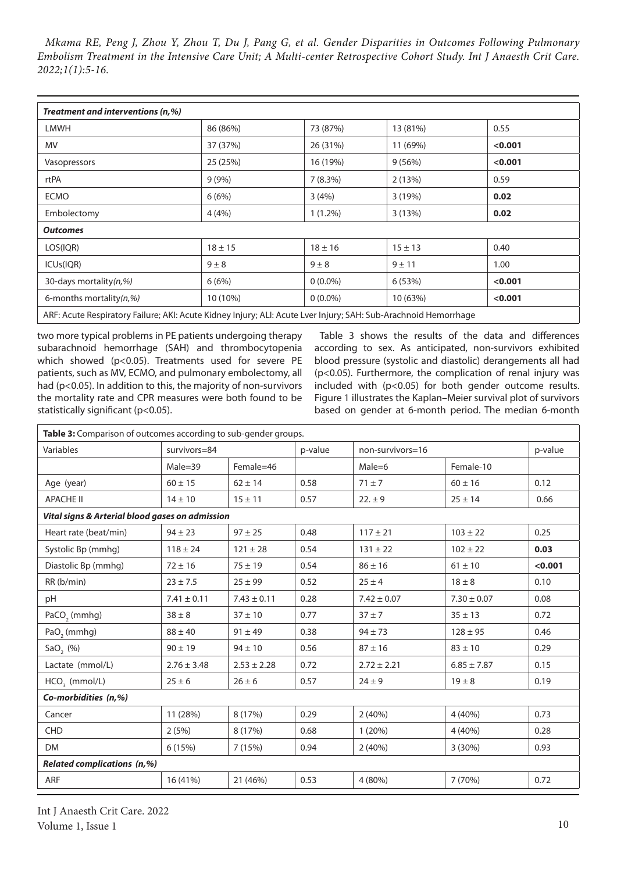| Treatment and interventions (n,%)                                                                               |             |             |             |         |  |  |
|-----------------------------------------------------------------------------------------------------------------|-------------|-------------|-------------|---------|--|--|
| <b>LMWH</b>                                                                                                     | 86 (86%)    | 73 (87%)    | 13 (81%)    | 0.55    |  |  |
| MV.                                                                                                             | 37 (37%)    | 26 (31%)    | 11 (69%)    | < 0.001 |  |  |
| Vasopressors                                                                                                    | 25 (25%)    | 16 (19%)    | 9(56%)      | < 0.001 |  |  |
| rtPA                                                                                                            | 9(9%)       | 7(8.3%)     | 2(13%)      | 0.59    |  |  |
| <b>ECMO</b>                                                                                                     | 6(6%)       | 3(4%)       | 3(19%)      | 0.02    |  |  |
| Embolectomy                                                                                                     | 4(4%)       | $1(1.2\%)$  | 3(13%)      | 0.02    |  |  |
| <b>Outcomes</b>                                                                                                 |             |             |             |         |  |  |
| LOS(IQR)                                                                                                        | $18 \pm 15$ | $18 \pm 16$ | $15 \pm 13$ | 0.40    |  |  |
| ICU <sub>s</sub> (IQR)                                                                                          | $9 \pm 8$   | $9 \pm 8$   | $9 \pm 11$  | 1.00    |  |  |
| 30-days mortality(n,%)                                                                                          | 6(6%)       | $0(0.0\%)$  | 6(53%)      | < 0.001 |  |  |
| 6-months mortality $(n, \%)$                                                                                    | 10 (10%)    | $0(0.0\%)$  | 10 (63%)    | < 0.001 |  |  |
| ARF: Acute Respiratory Failure; AKI: Acute Kidney Injury; ALI: Acute Lver Injury; SAH: Sub-Arachnoid Hemorrhage |             |             |             |         |  |  |

two more typical problems in PE patients undergoing therapy subarachnoid hemorrhage (SAH) and thrombocytopenia which showed (p<0.05). Treatments used for severe PE patients, such as MV, ECMO, and pulmonary embolectomy, all had (p<0.05). In addition to this, the majority of non-survivors the mortality rate and CPR measures were both found to be statistically significant (p<0.05).

Table 3 shows the results of the data and differences according to sex. As anticipated, non-survivors exhibited blood pressure (systolic and diastolic) derangements all had (p<0.05). Furthermore, the complication of renal injury was included with (p<0.05) for both gender outcome results. Figure 1 illustrates the Kaplan–Meier survival plot of survivors based on gender at 6-month period. The median 6-month

| Table 3: Comparison of outcomes according to sub-gender groups. |                 |                 |         |                  |                 |         |
|-----------------------------------------------------------------|-----------------|-----------------|---------|------------------|-----------------|---------|
| Variables                                                       | survivors=84    |                 | p-value | non-survivors=16 |                 | p-value |
|                                                                 | $Male = 39$     | Female=46       |         | $Male = 6$       | Female-10       |         |
| Age (year)                                                      | $60 \pm 15$     | $62 \pm 14$     | 0.58    | $71 \pm 7$       | $60 \pm 16$     | 0.12    |
| <b>APACHE II</b>                                                | $14 \pm 10$     | $15 \pm 11$     | 0.57    | $22. \pm 9$      | $25 \pm 14$     | 0.66    |
| Vital signs & Arterial blood gases on admission                 |                 |                 |         |                  |                 |         |
| Heart rate (beat/min)                                           | $94 \pm 23$     | $97 \pm 25$     | 0.48    | $117 \pm 21$     | $103 \pm 22$    | 0.25    |
| Systolic Bp (mmhg)                                              | $118 \pm 24$    | $121 \pm 28$    | 0.54    | $131 \pm 22$     | $102 \pm 22$    | 0.03    |
| Diastolic Bp (mmhg)                                             | $72 \pm 16$     | $75 \pm 19$     | 0.54    | $86 \pm 16$      | $61 \pm 10$     | < 0.001 |
| RR(b/min)                                                       | $23 \pm 7.5$    | $25 \pm 99$     | 0.52    | $25 \pm 4$       | $18 \pm 8$      | 0.10    |
| pH                                                              | $7.41 \pm 0.11$ | $7.43 \pm 0.11$ | 0.28    | $7.42 \pm 0.07$  | $7.30 \pm 0.07$ | 0.08    |
| PaCO <sub>2</sub> (mmhg)                                        | $38 \pm 8$      | $37 \pm 10$     | 0.77    | $37 + 7$         | $35 \pm 13$     | 0.72    |
| PaO <sub>2</sub> (mmhg)                                         | $88 \pm 40$     | $91 \pm 49$     | 0.38    | $94 \pm 73$      | $128 \pm 95$    | 0.46    |
| SaO <sub>2</sub> (%)                                            | $90 \pm 19$     | $94 \pm 10$     | 0.56    | $87 \pm 16$      | $83 \pm 10$     | 0.29    |
| Lactate (mmol/L)                                                | $2.76 \pm 3.48$ | $2.53 \pm 2.28$ | 0.72    | $2.72 \pm 2.21$  | $6.85 \pm 7.87$ | 0.15    |
| $HCO3$ (mmol/L)                                                 | $25 \pm 6$      | $26 \pm 6$      | 0.57    | $24 \pm 9$       | $19 \pm 8$      | 0.19    |
| Co-morbidities (n,%)                                            |                 |                 |         |                  |                 |         |
| Cancer                                                          | 11 (28%)        | 8 (17%)         | 0.29    | 2(40%)           | 4 (40%)         | 0.73    |
| <b>CHD</b>                                                      | 2(5%)           | 8 (17%)         | 0.68    | 1(20%)           | 4 (40%)         | 0.28    |
| <b>DM</b>                                                       | 6(15%)          | 7 (15%)         | 0.94    | 2(40%)           | 3(30%)          | 0.93    |
| <b>Related complications (n,%)</b>                              |                 |                 |         |                  |                 |         |
| <b>ARF</b>                                                      | 16 (41%)        | 21 (46%)        | 0.53    | 4(80%)           | 7(70%)          | 0.72    |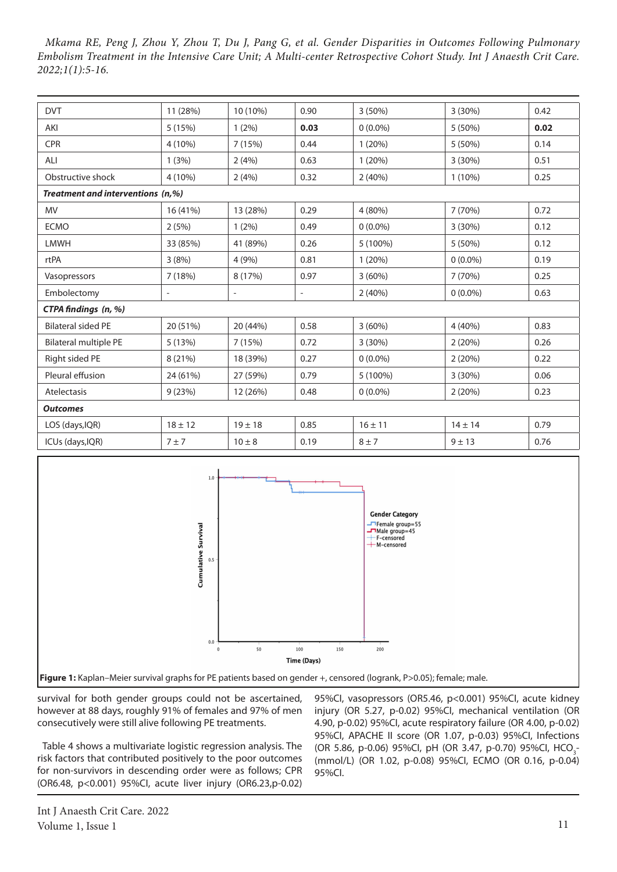| <b>DVT</b>                        | 11 (28%)    | 10 (10%)                 | 0.90                     | $3(50\%)$   | $3(30\%)$   | 0.42 |
|-----------------------------------|-------------|--------------------------|--------------------------|-------------|-------------|------|
| AKI                               | 5(15%)      | $1(2\%)$                 | 0.03                     | $0(0.0\%)$  | 5 (50%)     | 0.02 |
| <b>CPR</b>                        | 4 (10%)     | 7(15%)                   | 0.44                     | 1(20%)      | 5(50%)      | 0.14 |
| ALI                               | 1(3%)       | 2(4%)                    | 0.63                     | 1(20%)      | 3 (30%)     | 0.51 |
| Obstructive shock                 | 4 (10%)     | 2(4%)                    | 0.32                     | 2(40%)      | $1(10\%)$   | 0.25 |
| Treatment and interventions (n,%) |             |                          |                          |             |             |      |
| <b>MV</b>                         | 16 (41%)    | 13 (28%)                 | 0.29                     | 4 (80%)     | 7(70%)      | 0.72 |
| <b>ECMO</b>                       | 2(5%)       | $1(2\%)$                 | 0.49                     | $0(0.0\%)$  | 3(30%)      | 0.12 |
| <b>LMWH</b>                       | 33 (85%)    | 41 (89%)                 | 0.26                     | 5 (100%)    | 5(50%)      | 0.12 |
| rtPA                              | 3(8%)       | 4 (9%)                   | 0.81                     | 1(20%)      | $0(0.0\%)$  | 0.19 |
| Vasopressors                      | 7(18%)      | 8 (17%)                  | 0.97                     | $3(60\%)$   | 7(70%)      | 0.25 |
| Embolectomy                       |             | $\overline{\phantom{a}}$ | $\overline{\phantom{a}}$ | 2(40%)      | $0(0.0\%)$  | 0.63 |
| CTPA findings (n, %)              |             |                          |                          |             |             |      |
| <b>Bilateral sided PE</b>         | 20 (51%)    | 20 (44%)                 | 0.58                     | $3(60\%)$   | 4(40%)      | 0.83 |
| Bilateral multiple PE             | 5(13%)      | 7(15%)                   | 0.72                     | 3(30%)      | 2(20%)      | 0.26 |
| Right sided PE                    | 8 (21%)     | 18 (39%)                 | 0.27                     | $0(0.0\%)$  | 2(20%)      | 0.22 |
| Pleural effusion                  | 24 (61%)    | 27 (59%)                 | 0.79                     | 5 (100%)    | $3(30\%)$   | 0.06 |
| Atelectasis                       | 9(23%)      | 12 (26%)                 | 0.48                     | $0(0.0\%)$  | 2(20%)      | 0.23 |
| <b>Outcomes</b>                   |             |                          |                          |             |             |      |
| LOS (days, IQR)                   | $18 \pm 12$ | $19 \pm 18$              | 0.85                     | $16 \pm 11$ | $14 \pm 14$ | 0.79 |
| ICUs (days, IQR)                  | 7 ± 7       | $10 \pm 8$               | 0.19                     | $8 \pm 7$   | $9 + 13$    | 0.76 |



survival for both gender groups could not be ascertained, however at 88 days, roughly 91% of females and 97% of men consecutively were still alive following PE treatments.

Table 4 shows a multivariate logistic regression analysis. The risk factors that contributed positively to the poor outcomes for non-survivors in descending order were as follows; CPR (OR6.48, p<0.001) 95%CI, acute liver injury (OR6.23,p-0.02)

95%CI, vasopressors (OR5.46, p<0.001) 95%CI, acute kidney injury (OR 5.27, p-0.02) 95%CI, mechanical ventilation (OR 4.90, p-0.02) 95%CI, acute respiratory failure (OR 4.00, p-0.02) 95%CI, APACHE II score (OR 1.07, p-0.03) 95%CI, Infections (OR 5.86, p-0.06) 95%Cl, pH (OR 3.47, p-0.70) 95%Cl, HCO<sub>3</sub>-(mmol/L) (OR 1.02, p-0.08) 95%CI, ECMO (OR 0.16, p-0.04) 95%CI.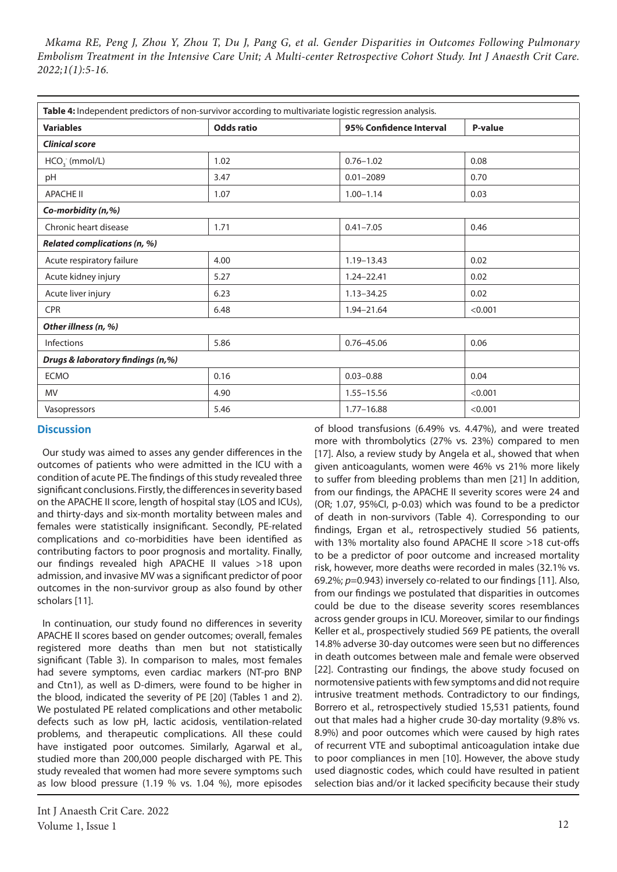| Table 4: Independent predictors of non-survivor according to multivariate logistic regression analysis. |                   |                         |         |  |  |
|---------------------------------------------------------------------------------------------------------|-------------------|-------------------------|---------|--|--|
| <b>Variables</b>                                                                                        | <b>Odds ratio</b> | 95% Confidence Interval | P-value |  |  |
| <b>Clinical score</b>                                                                                   |                   |                         |         |  |  |
| $HCO3$ (mmol/L)                                                                                         | 1.02              | $0.76 - 1.02$           | 0.08    |  |  |
| pH                                                                                                      | 3.47              | $0.01 - 2089$           | 0.70    |  |  |
| <b>APACHE II</b>                                                                                        | 1.07              | $1.00 - 1.14$           | 0.03    |  |  |
| Co-morbidity (n,%)                                                                                      |                   |                         |         |  |  |
| Chronic heart disease                                                                                   | 1.71              | $0.41 - 7.05$           | 0.46    |  |  |
| <b>Related complications (n, %)</b>                                                                     |                   |                         |         |  |  |
| Acute respiratory failure                                                                               | 4.00              | $1.19 - 13.43$          | 0.02    |  |  |
| Acute kidney injury                                                                                     | 5.27              | 1.24-22.41              | 0.02    |  |  |
| Acute liver injury                                                                                      | 6.23              | $1.13 - 34.25$          | 0.02    |  |  |
| <b>CPR</b>                                                                                              | 6.48              | 1.94-21.64              | < 0.001 |  |  |
| Other illness (n, %)                                                                                    |                   |                         |         |  |  |
| <b>Infections</b>                                                                                       | 5.86              | $0.76 - 45.06$          | 0.06    |  |  |
| Drugs & laboratory findings (n,%)                                                                       |                   |                         |         |  |  |
| <b>ECMO</b>                                                                                             | 0.16              | $0.03 - 0.88$           | 0.04    |  |  |
| <b>MV</b>                                                                                               | 4.90              | $1.55 - 15.56$          | < 0.001 |  |  |
| Vasopressors                                                                                            | 5.46              | $1.77 - 16.88$          | < 0.001 |  |  |

# **Discussion**

Our study was aimed to asses any gender differences in the outcomes of patients who were admitted in the ICU with a condition of acute PE. The findings of this study revealed three significant conclusions. Firstly, the differences in severity based on the APACHE II score, length of hospital stay (LOS and ICUs), and thirty-days and six-month mortality between males and females were statistically insignificant. Secondly, PE-related complications and co-morbidities have been identified as contributing factors to poor prognosis and mortality. Finally, our findings revealed high APACHE II values >18 upon admission, and invasive MV was a significant predictor of poor outcomes in the non-survivor group as also found by other scholars [11].

In continuation, our study found no differences in severity APACHE II scores based on gender outcomes; overall, females registered more deaths than men but not statistically significant (Table 3). In comparison to males, most females had severe symptoms, even cardiac markers (NT-pro BNP and Ctn1), as well as D-dimers, were found to be higher in the blood, indicated the severity of PE [20] (Tables 1 and 2). We postulated PE related complications and other metabolic defects such as low pH, lactic acidosis, ventilation-related problems, and therapeutic complications. All these could have instigated poor outcomes. Similarly, Agarwal et al., studied more than 200,000 people discharged with PE. This study revealed that women had more severe symptoms such as low blood pressure (1.19 % vs. 1.04 %), more episodes

Int J Anaesth Crit Care. 2022 Volume 1, Issue 1  $12$ 

of blood transfusions (6.49% vs. 4.47%), and were treated more with thrombolytics (27% vs. 23%) compared to men [17]. Also, a review study by Angela et al., showed that when given anticoagulants, women were 46% vs 21% more likely to suffer from bleeding problems than men [21] In addition, from our findings, the APACHE II severity scores were 24 and (OR; 1.07, 95%CI, p-0.03) which was found to be a predictor of death in non-survivors (Table 4). Corresponding to our findings, Ergan et al., retrospectively studied 56 patients, with 13% mortality also found APACHE II score >18 cut-offs to be a predictor of poor outcome and increased mortality risk, however, more deaths were recorded in males (32.1% vs. 69.2%; *p*=0.943) inversely co-related to our findings [11]. Also, from our findings we postulated that disparities in outcomes could be due to the disease severity scores resemblances across gender groups in ICU. Moreover, similar to our findings Keller et al., prospectively studied 569 PE patients, the overall 14.8% adverse 30-day outcomes were seen but no differences in death outcomes between male and female were observed [22]. Contrasting our findings, the above study focused on normotensive patients with few symptoms and did not require intrusive treatment methods. Contradictory to our findings, Borrero et al., retrospectively studied 15,531 patients, found out that males had a higher crude 30-day mortality (9.8% vs. 8.9%) and poor outcomes which were caused by high rates of recurrent VTE and suboptimal anticoagulation intake due to poor compliances in men [10]. However, the above study used diagnostic codes, which could have resulted in patient selection bias and/or it lacked specificity because their study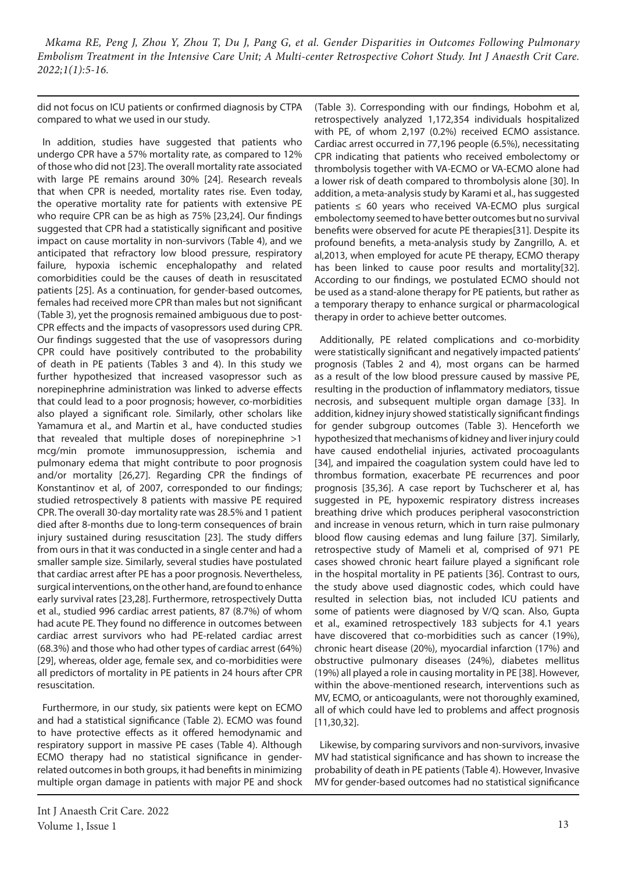did not focus on ICU patients or confirmed diagnosis by CTPA compared to what we used in our study.

In addition, studies have suggested that patients who undergo CPR have a 57% mortality rate, as compared to 12% of those who did not [23]. The overall mortality rate associated with large PE remains around 30% [24]. Research reveals that when CPR is needed, mortality rates rise. Even today, the operative mortality rate for patients with extensive PE who require CPR can be as high as 75% [23,24]. Our findings suggested that CPR had a statistically significant and positive impact on cause mortality in non-survivors (Table 4), and we anticipated that refractory low blood pressure, respiratory failure, hypoxia ischemic encephalopathy and related comorbidities could be the causes of death in resuscitated patients [25]. As a continuation, for gender-based outcomes, females had received more CPR than males but not significant (Table 3), yet the prognosis remained ambiguous due to post-CPR effects and the impacts of vasopressors used during CPR. Our findings suggested that the use of vasopressors during CPR could have positively contributed to the probability of death in PE patients (Tables 3 and 4). In this study we further hypothesized that increased vasopressor such as norepinephrine administration was linked to adverse effects that could lead to a poor prognosis; however, co-morbidities also played a significant role. Similarly, other scholars like Yamamura et al., and Martin et al., have conducted studies that revealed that multiple doses of norepinephrine >1 mcg/min promote immunosuppression, ischemia and pulmonary edema that might contribute to poor prognosis and/or mortality [26,27]. Regarding CPR the findings of Konstantinov et al, of 2007, corresponded to our findings; studied retrospectively 8 patients with massive PE required CPR. The overall 30-day mortality rate was 28.5% and 1 patient died after 8-months due to long-term consequences of brain injury sustained during resuscitation [23]. The study differs from ours in that it was conducted in a single center and had a smaller sample size. Similarly, several studies have postulated that cardiac arrest after PE has a poor prognosis. Nevertheless, surgical interventions, on the other hand, are found to enhance early survival rates [23,28]. Furthermore, retrospectively Dutta et al., studied 996 cardiac arrest patients, 87 (8.7%) of whom had acute PE. They found no difference in outcomes between cardiac arrest survivors who had PE-related cardiac arrest (68.3%) and those who had other types of cardiac arrest (64%) [29], whereas, older age, female sex, and co-morbidities were all predictors of mortality in PE patients in 24 hours after CPR resuscitation.

Furthermore, in our study, six patients were kept on ECMO and had a statistical significance (Table 2). ECMO was found to have protective effects as it offered hemodynamic and respiratory support in massive PE cases (Table 4). Although ECMO therapy had no statistical significance in genderrelated outcomes in both groups, it had benefits in minimizing multiple organ damage in patients with major PE and shock

Int J Anaesth Crit Care. 2022 Volume 1, Issue 1 13

(Table 3). Corresponding with our findings, Hobohm et al, retrospectively analyzed 1,172,354 individuals hospitalized with PE, of whom 2,197 (0.2%) received ECMO assistance. Cardiac arrest occurred in 77,196 people (6.5%), necessitating CPR indicating that patients who received embolectomy or thrombolysis together with VA-ECMO or VA-ECMO alone had a lower risk of death compared to thrombolysis alone [30]. In addition, a meta-analysis study by Karami et al., has suggested patients  $\leq 60$  years who received VA-ECMO plus surgical embolectomy seemed to have better outcomes but no survival benefits were observed for acute PE therapies[31]. Despite its profound benefits, a meta-analysis study by Zangrillo, A. et al,2013, when employed for acute PE therapy, ECMO therapy has been linked to cause poor results and mortality[32]. According to our findings, we postulated ECMO should not be used as a stand-alone therapy for PE patients, but rather as a temporary therapy to enhance surgical or pharmacological therapy in order to achieve better outcomes.

Additionally, PE related complications and co-morbidity were statistically significant and negatively impacted patients' prognosis (Tables 2 and 4), most organs can be harmed as a result of the low blood pressure caused by massive PE, resulting in the production of inflammatory mediators, tissue necrosis, and subsequent multiple organ damage [33]. In addition, kidney injury showed statistically significant findings for gender subgroup outcomes (Table 3). Henceforth we hypothesized that mechanisms of kidney and liver injury could have caused endothelial injuries, activated procoagulants [34], and impaired the coagulation system could have led to thrombus formation, exacerbate PE recurrences and poor prognosis [35,36]. A case report by Tuchscherer et al, has suggested in PE, hypoxemic respiratory distress increases breathing drive which produces peripheral vasoconstriction and increase in venous return, which in turn raise pulmonary blood flow causing edemas and lung failure [37]. Similarly, retrospective study of Mameli et al, comprised of 971 PE cases showed chronic heart failure played a significant role in the hospital mortality in PE patients [36]. Contrast to ours, the study above used diagnostic codes, which could have resulted in selection bias, not included ICU patients and some of patients were diagnosed by V/Q scan. Also, Gupta et al., examined retrospectively 183 subjects for 4.1 years have discovered that co-morbidities such as cancer (19%), chronic heart disease (20%), myocardial infarction (17%) and obstructive pulmonary diseases (24%), diabetes mellitus (19%) all played a role in causing mortality in PE [38]. However, within the above-mentioned research, interventions such as MV, ECMO, or anticoagulants, were not thoroughly examined, all of which could have led to problems and affect prognosis [11,30,32].

Likewise, by comparing survivors and non-survivors, invasive MV had statistical significance and has shown to increase the probability of death in PE patients (Table 4). However, Invasive MV for gender-based outcomes had no statistical significance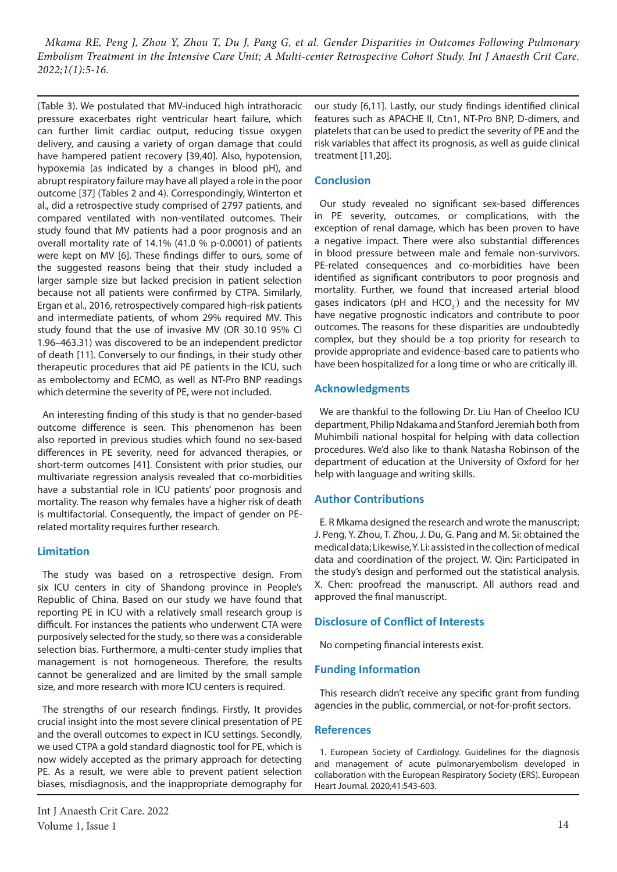(Table 3). We postulated that MV-induced high intrathoracic pressure exacerbates right ventricular heart failure, which can further limit cardiac output, reducing tissue oxygen delivery, and causing a variety of organ damage that could have hampered patient recovery [39,40]. Also, hypotension, hypoxemia (as indicated by a changes in blood pH), and abrupt respiratory failure may have all played a role in the poor outcome [37] (Tables 2 and 4). Correspondingly, Winterton et al., did a retrospective study comprised of 2797 patients, and compared ventilated with non-ventilated outcomes. Their study found that MV patients had a poor prognosis and an overall mortality rate of 14.1% (41.0 % p-0.0001) of patients were kept on MV [6]. These findings differ to ours, some of the suggested reasons being that their study included a larger sample size but lacked precision in patient selection because not all patients were confirmed by CTPA. Similarly, Ergan et al., 2016, retrospectively compared high-risk patients and intermediate patients, of whom 29% required MV. This study found that the use of invasive MV (OR 30.10 95% CI 1.96–463.31) was discovered to be an independent predictor of death [11]. Conversely to our findings, in their study other therapeutic procedures that aid PE patients in the ICU, such as embolectomy and ECMO, as well as NT-Pro BNP readings which determine the severity of PE, were not included.

An interesting finding of this study is that no gender-based outcome difference is seen. This phenomenon has been also reported in previous studies which found no sex-based differences in PE severity, need for advanced therapies, or short-term outcomes [41]. Consistent with prior studies, our multivariate regression analysis revealed that co-morbidities have a substantial role in ICU patients' poor prognosis and mortality. The reason why females have a higher risk of death is multifactorial. Consequently, the impact of gender on PErelated mortality requires further research.

## **Limitation**

The study was based on a retrospective design. From six ICU centers in city of Shandong province in People's Republic of China. Based on our study we have found that reporting PE in ICU with a relatively small research group is difficult. For instances the patients who underwent CTA were purposively selected for the study, so there was a considerable selection bias. Furthermore, a multi-center study implies that management is not homogeneous. Therefore, the results cannot be generalized and are limited by the small sample size, and more research with more ICU centers is required.

The strengths of our research findings. Firstly, It provides crucial insight into the most severe clinical presentation of PE and the overall outcomes to expect in ICU settings. Secondly, we used CTPA a gold standard diagnostic tool for PE, which is now widely accepted as the primary approach for detecting PE. As a result, we were able to prevent patient selection biases, misdiagnosis, and the inappropriate demography for

Int J Anaesth Crit Care. 2022 Volume 1, Issue 1 14

our study [6,11]. Lastly, our study findings identified clinical features such as APACHE II, Ctn1, NT-Pro BNP, D-dimers, and platelets that can be used to predict the severity of PE and the risk variables that affect its prognosis, as well as guide clinical treatment [11,20].

# **Conclusion**

Our study revealed no significant sex-based differences in PE severity, outcomes, or complications, with the exception of renal damage, which has been proven to have a negative impact. There were also substantial differences in blood pressure between male and female non-survivors. PE-related consequences and co-morbidities have been identified as significant contributors to poor prognosis and mortality. Further, we found that increased arterial blood gases indicators (pH and  $HCO<sub>3</sub>$ ) and the necessity for MV have negative prognostic indicators and contribute to poor outcomes. The reasons for these disparities are undoubtedly complex, but they should be a top priority for research to provide appropriate and evidence-based care to patients who have been hospitalized for a long time or who are critically ill.

## **Acknowledgments**

We are thankful to the following Dr. Liu Han of Cheeloo ICU department, Philip Ndakama and Stanford Jeremiah both from Muhimbili national hospital for helping with data collection procedures. We'd also like to thank Natasha Robinson of the department of education at the University of Oxford for her help with language and writing skills.

## **Author Contributions**

E. R Mkama designed the research and wrote the manuscript; J. Peng, Y. Zhou, T. Zhou, J. Du, G. Pang and M. Si: obtained the medical data; Likewise, Y. Li: assisted in the collection of medical data and coordination of the project. W. Qin: Participated in the study's design and performed out the statistical analysis. X. Chen: proofread the manuscript. All authors read and approved the final manuscript.

# **Disclosure of Conflict of Interests**

No competing financial interests exist.

## **Funding Information**

This research didn't receive any specific grant from funding agencies in the public, commercial, or not-for-profit sectors.

## **References**

1. European Society of Cardiology. Guidelines for the diagnosis and management of acute pulmonaryembolism developed in collaboration with the European Respiratory Society (ERS). European Heart Journal. 2020;41:543-603.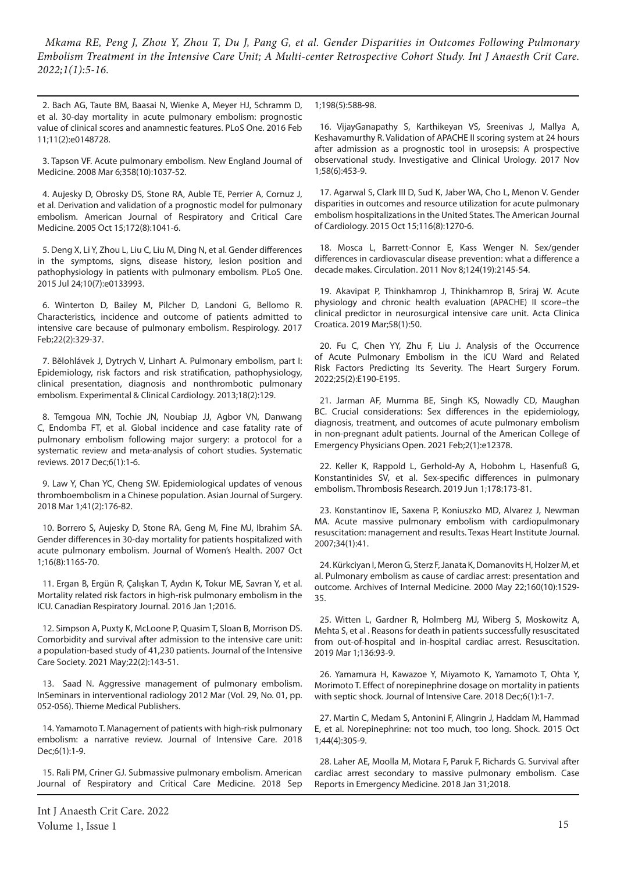2. Bach AG, Taute BM, Baasai N, Wienke A, Meyer HJ, Schramm D, et al. 30-day mortality in acute pulmonary embolism: prognostic value of clinical scores and anamnestic features. PLoS One. 2016 Feb 11;11(2):e0148728.

3. Tapson VF. Acute pulmonary embolism. New England Journal of Medicine. 2008 Mar 6;358(10):1037-52.

4. Aujesky D, Obrosky DS, Stone RA, Auble TE, Perrier A, Cornuz J, et al. Derivation and validation of a prognostic model for pulmonary embolism. American Journal of Respiratory and Critical Care Medicine. 2005 Oct 15;172(8):1041-6.

5. Deng X, Li Y, Zhou L, Liu C, Liu M, Ding N, et al. Gender differences in the symptoms, signs, disease history, lesion position and pathophysiology in patients with pulmonary embolism. PLoS One. 2015 Jul 24;10(7):e0133993.

6. Winterton D, Bailey M, Pilcher D, Landoni G, Bellomo R. Characteristics, incidence and outcome of patients admitted to intensive care because of pulmonary embolism. Respirology. 2017 Feb;22(2):329-37.

7. Bĕlohlávek J, Dytrych V, Linhart A. Pulmonary embolism, part I: Epidemiology, risk factors and risk stratification, pathophysiology, clinical presentation, diagnosis and nonthrombotic pulmonary embolism. Experimental & Clinical Cardiology. 2013;18(2):129.

8. Temgoua MN, Tochie JN, Noubiap JJ, Agbor VN, Danwang C, Endomba FT, et al. Global incidence and case fatality rate of pulmonary embolism following major surgery: a protocol for a systematic review and meta-analysis of cohort studies. Systematic reviews. 2017 Dec;6(1):1-6.

9. Law Y, Chan YC, Cheng SW. Epidemiological updates of venous thromboembolism in a Chinese population. Asian Journal of Surgery. 2018 Mar 1;41(2):176-82.

10. Borrero S, Aujesky D, Stone RA, Geng M, Fine MJ, Ibrahim SA. Gender differences in 30-day mortality for patients hospitalized with acute pulmonary embolism. Journal of Women's Health. 2007 Oct 1;16(8):1165-70.

11. Ergan B, Ergün R, Çalışkan T, Aydın K, Tokur ME, Savran Y, et al. Mortality related risk factors in high-risk pulmonary embolism in the ICU. Canadian Respiratory Journal. 2016 Jan 1;2016.

12. Simpson A, Puxty K, McLoone P, Quasim T, Sloan B, Morrison DS. Comorbidity and survival after admission to the intensive care unit: a population-based study of 41,230 patients. Journal of the Intensive Care Society. 2021 May;22(2):143-51.

13. Saad N. Aggressive management of pulmonary embolism. InSeminars in interventional radiology 2012 Mar (Vol. 29, No. 01, pp. 052-056). Thieme Medical Publishers.

14. Yamamoto T. Management of patients with high-risk pulmonary embolism: a narrative review. Journal of Intensive Care. 2018 Dec;6(1):1-9.

15. Rali PM, Criner GJ. Submassive pulmonary embolism. American Journal of Respiratory and Critical Care Medicine. 2018 Sep 1;198(5):588-98.

16. VijayGanapathy S, Karthikeyan VS, Sreenivas J, Mallya A, Keshavamurthy R. Validation of APACHE II scoring system at 24 hours after admission as a prognostic tool in urosepsis: A prospective observational study. Investigative and Clinical Urology. 2017 Nov 1;58(6):453-9.

17. Agarwal S, Clark III D, Sud K, Jaber WA, Cho L, Menon V. Gender disparities in outcomes and resource utilization for acute pulmonary embolism hospitalizations in the United States. The American Journal of Cardiology. 2015 Oct 15;116(8):1270-6.

18. Mosca L, Barrett-Connor E, Kass Wenger N. Sex/gender differences in cardiovascular disease prevention: what a difference a decade makes. Circulation. 2011 Nov 8;124(19):2145-54.

19. Akavipat P, Thinkhamrop J, Thinkhamrop B, Sriraj W. Acute physiology and chronic health evaluation (APACHE) II score–the clinical predictor in neurosurgical intensive care unit. Acta Clinica Croatica. 2019 Mar;58(1):50.

20. Fu C, Chen YY, Zhu F, Liu J. Analysis of the Occurrence of Acute Pulmonary Embolism in the ICU Ward and Related Risk Factors Predicting Its Severity. The Heart Surgery Forum. 2022;25(2):E190-E195.

21. Jarman AF, Mumma BE, Singh KS, Nowadly CD, Maughan BC. Crucial considerations: Sex differences in the epidemiology, diagnosis, treatment, and outcomes of acute pulmonary embolism in non‐pregnant adult patients. Journal of the American College of Emergency Physicians Open. 2021 Feb;2(1):e12378.

22. Keller K, Rappold L, Gerhold-Ay A, Hobohm L, Hasenfuß G, Konstantinides SV, et al. Sex-specific differences in pulmonary embolism. Thrombosis Research. 2019 Jun 1;178:173-81.

23. Konstantinov IE, Saxena P, Koniuszko MD, Alvarez J, Newman MA. Acute massive pulmonary embolism with cardiopulmonary resuscitation: management and results. Texas Heart Institute Journal. 2007;34(1):41.

24. Kürkciyan I, Meron G, Sterz F, Janata K, Domanovits H, Holzer M, et al. Pulmonary embolism as cause of cardiac arrest: presentation and outcome. Archives of Internal Medicine. 2000 May 22;160(10):1529- 35.

25. Witten L, Gardner R, Holmberg MJ, Wiberg S, Moskowitz A, Mehta S, et al . Reasons for death in patients successfully resuscitated from out-of-hospital and in-hospital cardiac arrest. Resuscitation. 2019 Mar 1;136:93-9.

26. Yamamura H, Kawazoe Y, Miyamoto K, Yamamoto T, Ohta Y, Morimoto T. Effect of norepinephrine dosage on mortality in patients with septic shock. Journal of Intensive Care. 2018 Dec;6(1):1-7.

27. Martin C, Medam S, Antonini F, Alingrin J, Haddam M, Hammad E, et al. Norepinephrine: not too much, too long. Shock. 2015 Oct 1;44(4):305-9.

28. Laher AE, Moolla M, Motara F, Paruk F, Richards G. Survival after cardiac arrest secondary to massive pulmonary embolism. Case Reports in Emergency Medicine. 2018 Jan 31;2018.